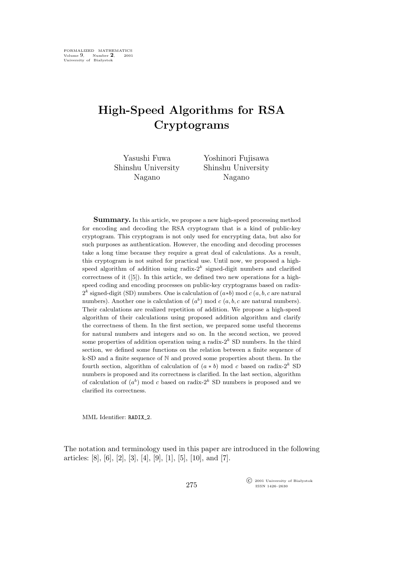## **High-Speed Algorithms for RSA Cryptograms**

| Yasushi Fuwa       | Yoshinori Fujisawa |
|--------------------|--------------------|
| Shinshu University | Shinshu University |
| Nagano             | Nagano             |

**Summary.** In this article, we propose a new high-speed processing method for encoding and decoding the RSA cryptogram that is a kind of public-key cryptogram. This cryptogram is not only used for encrypting data, but also for such purposes as authentication. However, the encoding and decoding processes take a long time because they require a great deal of calculations. As a result, this cryptogram is not suited for practical use. Until now, we proposed a highspeed algorithm of addition using radix- $2<sup>k</sup>$  signed-digit numbers and clarified correctness of it ([5]). In this article, we defined two new operations for a highspeed coding and encoding processes on public-key cryptograms based on radix- $2<sup>k</sup>$  signed-digit (SD) numbers. One is calculation of  $(a*b)$  mod  $c(a, b, c$  are natural numbers). Another one is calculation of  $(a^b)$  mod  $c$   $(a, b, c$  are natural numbers). Their calculations are realized repetition of addition. We propose a high-speed algorithm of their calculations using proposed addition algorithm and clarify the correctness of them. In the first section, we prepared some useful theorems for natural numbers and integers and so on. In the second section, we proved some properties of addition operation using a radix- $2<sup>k</sup>$  SD numbers. In the third section, we defined some functions on the relation between a finite sequence of k-SD and a finite sequence of N and proved some properties about them. In the fourth section, algorithm of calculation of  $(a * b)$  mod c based on radix-2<sup>k</sup> SD numbers is proposed and its correctness is clarified. In the last section, algorithm of calculation of  $(a^b)$  mod c based on radix-2<sup>k</sup> SD numbers is proposed and we clarified its correctness.

MML Identifier: RADIX 2.

The notation and terminology used in this paper are introduced in the following articles: [8], [6], [2], [3], [4], [9], [1], [5], [10], and [7].

> °c 2001 University of Białystok ISSN 1426–2630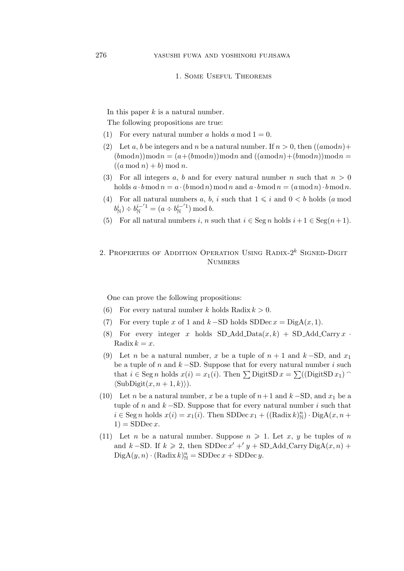## 1. Some Useful Theorems

In this paper  $k$  is a natural number.

The following propositions are true:

- (1) For every natural number a holds a mod  $1 = 0$ .
- (2) Let a, b be integers and n be a natural number. If  $n > 0$ , then  $((a \mod n) +$  $(b \mod n)(\mod n = (a + (b \mod n)) \mod n$  and  $((a \mod n) + (b \mod n)) \mod n =$  $((a \bmod n) + b) \bmod n$ .
- (3) For all integers a, b and for every natural number n such that  $n > 0$ holds  $a \cdot b \mod n = a \cdot (b \mod n) \mod n$  and  $a \cdot b \mod n = (a \mod n) \cdot b \mod n$ .
- (4) For all natural numbers a, b, i such that  $1 \leq i$  and  $0 \leq b$  holds (a mod  $b^i_{\mathbb{N}}$ )  $\div b^{i-1}_{\mathbb{N}} = (a \div b^{i-1}_{\mathbb{N}})$  $\binom{i}{\mathbb{N}}$  mod b.
- (5) For all natural numbers i, n such that  $i \in \text{Seg } n$  holds  $i+1 \in \text{Seg}(n+1)$ .

## 2. PROPERTIES OF ADDITION OPERATION USING RADIX- $2^k$  SIGNED-DIGIT **NUMBERS**

One can prove the following propositions:

- (6) For every natural number k holds Radix  $k > 0$ .
- (7) For every tuple x of 1 and  $k$  –SD holds SDDec  $x = \text{DiagA}(x, 1)$ .
- (8) For every integer x holds  $SD\_Add\_Data(x, k) + SD\_Add\_Carry x$ . Radix  $k = x$ .
- (9) Let *n* be a natural number, x be a tuple of  $n + 1$  and  $k SD$ , and  $x_1$ be a tuple of n and k *−*SD. Suppose that for every natural number i such that  $i \in \text{Seg } n$  holds  $x(i) = x_1(i)$ . Then  $\sum$  DigitSD  $x = \sum ((\text{DigitSD } x_1)$  $\langle \text{SubDigit}(x, n+1, k) \rangle$ .
- (10) Let *n* be a natural number, x be a tuple of  $n+1$  and  $k$  −SD, and  $x_1$  be a tuple of n and  $k$  −SD. Suppose that for every natural number i such that  $i \in \text{Seg } n \text{ holds } x(i) = x_1(i)$ . Then SDDec  $x_1 + ((\text{Radius } k)_\mathbb{N}^n) \cdot \text{DiagA}(x, n +$  $1) = SDDec x.$
- (11) Let *n* be a natural number. Suppose  $n \ge 1$ . Let *x*, *y* be tuples of *n* and  $k$  –SD. If  $k \ge 2$ , then SDDec  $x' + y + SD$  Add Carry DigA $(x, n)$  +  $\mathrm{DiagA}(y,n) \cdot (\mathrm{Radix}\, k)_\mathbb{N}^n = \mathrm{SDDec}\, x + \mathrm{SDDec}\, y.$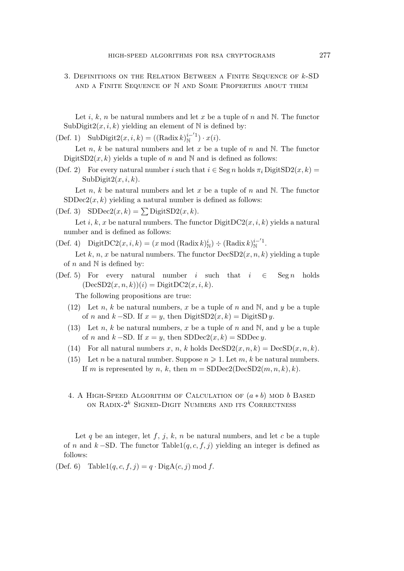3. Definitions on the Relation Between a Finite Sequence of k-SD and a Finite Sequence of N and Some Properties about them

Let i, k, n be natural numbers and let x be a tuple of n and N. The functor SubDigit $2(x, i, k)$  yielding an element of N is defined by:

(Def. 1) SubDigit $2(x, i, k) = ((\text{Radix } k)_N^{i-1})$  $\binom{i}{\mathbb{N}}^{i-1} \cdot x(i).$ 

Let n, k be natural numbers and let x be a tuple of n and N. The functor DigitSD2 $(x, k)$  yields a tuple of n and N and is defined as follows:

(Def. 2) For every natural number i such that  $i \in \text{Seg } n$  holds  $\pi_i$  DigitsD2 $(x, k)$  =  $SubDigit2(x, i, k).$ 

Let n, k be natural numbers and let x be a tuple of n and N. The functor  $SDDec2(x, k)$  yielding a natural number is defined as follows:

(Def. 3)  $SDDec2(x, k) = \sum \text{DigitSD2}(x, k)$ .

Let i, k, x be natural numbers. The functor  $\text{DigitDC2}(x, i, k)$  yields a natural number and is defined as follows:

(Def. 4) DigitDC2 $(x, i, k) = (x \mod (\text{Radix } k)^i_N) \div (\text{Radix } k)^{i-1}$ 1-1.<br>N Let k, n, x be natural numbers. The functor  $\text{DecSD2}(x, n, k)$  yielding a tuple

of n and  $\mathbb N$  is defined by:

(Def. 5) For every natural number i such that  $i \in \text{Seg } n$  holds  $(DecSD2(x, n, k))(i) = DigitDC2(x, i, k).$ 

The following propositions are true:

- (12) Let n, k be natural numbers, x be a tuple of n and N, and y be a tuple of *n* and  $k - SD$ . If  $x = y$ , then DigitSD2(x, k) = DigitSD y.
- (13) Let n, k be natural numbers, x be a tuple of n and N, and y be a tuple of *n* and  $k$  −SD. If  $x = y$ , then SDDec2(x, k) = SDDec y.
- (14) For all natural numbers x, n, k holds  $DecSD2(x, n, k) = DecSD(x, n, k)$ .
- (15) Let *n* be a natural number. Suppose  $n \ge 1$ . Let *m*, *k* be natural numbers. If m is represented by n, k, then  $m = SDDec2(DecSD2(m, n, k), k)$ .
- 4. A High-Speed Algorithm of Calculation of (a *∗* b) mod b Based ON RADIX- $2^k$  SIGNED-DIGIT NUMBERS AND ITS CORRECTNESS

Let q be an integer, let  $f, j, k, n$  be natural numbers, and let c be a tuple of n and k *−*SD. The functor Table1(q,c, f, j) yielding an integer is defined as follows:

(Def. 6) Table1( $q, c, f, j$ ) =  $q \cdot$ DigA( $c, j$ ) mod f.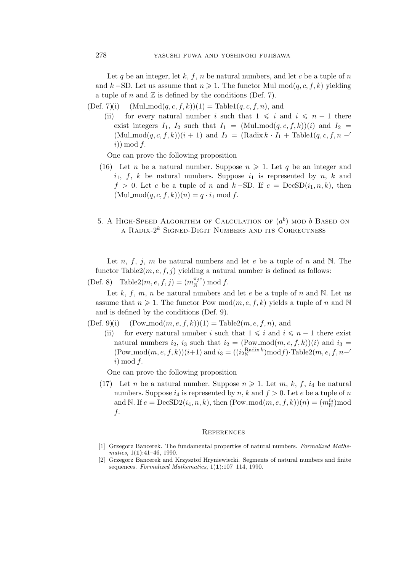Let q be an integer, let k, f, n be natural numbers, and let c be a tuple of n and k – SD. Let us assume that  $n \geqslant 1$ . The functor Mul\_mod $(q, c, f, k)$  yielding a tuple of n and  $\mathbb Z$  is defined by the conditions (Def. 7).

(Def. 7)(i) (Mul\_mod $(q, c, f, k)$ )(1) = Table1 $(q, c, f, n)$ , and

(ii) for every natural number i such that  $1 \leq i$  and  $i \leq n-1$  there exist integers  $I_1$ ,  $I_2$  such that  $I_1 = (Mulmod(q, c, f, k))(i)$  and  $I_2 =$  $(Mul_{\text{mod}}(q, c, f, k))(i + 1)$  and  $I_2 = (Radix k \cdot I_1 + Table1(q, c, f, n - f))$  $i)$  mod  $f$ .

One can prove the following proposition

- (16) Let *n* be a natural number. Suppose  $n \geq 1$ . Let *q* be an integer and  $i_1$ , f, k be natural numbers. Suppose  $i_1$  is represented by n, k and  $f > 0$ . Let c be a tuple of n and k –SD. If c = DecSD $(i_1, n, k)$ , then  $(Mulmod(q, c, f, k))(n) = q \cdot i_1 \mod f.$
- 5. A HIGH-SPEED ALGORITHM OF CALCULATION OF  $(a^b)$  MOD  $b$  BASED ON A RADIX- $2^k$  SIGNED-DIGIT NUMBERS AND ITS CORRECTNESS

Let  $n, f, j, m$  be natural numbers and let  $e$  be a tuple of  $n$  and  $N$ . The functor Table2( $m, e, f, j$ ) yielding a natural number is defined as follows:

(Def. 8) Table  $2(m, e, f, j) = (m_{\mathbb{N}}^{\pi_j e}) \bmod f$ .

Let k, f, m, n be natural numbers and let e be a tuple of n and N. Let us assume that  $n \geq 1$ . The functor Pow mod $(m, e, f, k)$  yields a tuple of n and N and is defined by the conditions (Def. 9).

(Def. 9)(i) (Pow\_mod $(m, e, f, k)$ )(1) = Table2 $(m, e, f, n)$ , and

(ii) for every natural number i such that  $1 \leq i$  and  $i \leq n-1$  there exist natural numbers  $i_2$ ,  $i_3$  such that  $i_2 = (\text{Pow\_mod}(m, e, f, k))(i)$  and  $i_3 =$  $(\text{Pow\_mod}(m, e, f, k))(i+1)$  and  $i_3 = ((i_2^{\text{Radix }k}_{\text{N}}) \text{mod} f) \cdot \text{Table2}(m, e, f, n-1)$  $i) \bmod f$ .

One can prove the following proposition

(17) Let *n* be a natural number. Suppose  $n \geq 1$ . Let *m*, *k*, *f*, *i*<sub>4</sub> be natural numbers. Suppose  $i_4$  is represented by n, k and  $f > 0$ . Let e be a tuple of n and N. If  $e = \text{DecSD2}(i_4, n, k)$ , then  $(\text{Pow\_mod}(m, e, f, k))(n) = (m_N^{i_4}) \text{mod}$ f.

## **REFERENCES**

- [1] Grzegorz Bancerek. The fundamental properties of natural numbers. *Formalized Mathematics*, 1(**1**):41–46, 1990.
- [2] Grzegorz Bancerek and Krzysztof Hryniewiecki. Segments of natural numbers and finite sequences. *Formalized Mathematics*, 1(**1**):107–114, 1990.